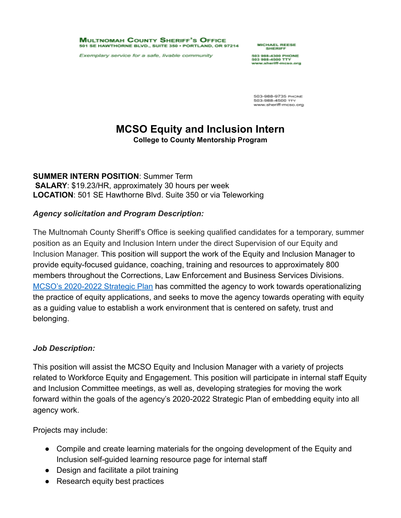**MULTNOMAH COUNTY SHERIFF'S OFFICE** 501 SE HAWTHORNE BLVD., SUITE 350 - PORTLAND, OR 97214

Exemplary service for a safe, livable community

**MICHAEL REESE** SHERIFF

503 988-4300 PHONE www.sheriff-mcso.org

503-988-9735 PHONE 503-988-4500 TTY www.sheriff-mcso.org

# **MCSO Equity and Inclusion Intern**

**College to County Mentorship Program**

**SUMMER INTERN POSITION**: Summer Term **SALARY**: \$19.23/HR, approximately 30 hours per week **LOCATION**: 501 SE Hawthorne Blvd. Suite 350 or via Teleworking

## *Agency solicitation and Program Description:*

The Multnomah County Sheriff's Office is seeking qualified candidates for a temporary, summer position as an Equity and Inclusion Intern under the direct Supervision of our Equity and Inclusion Manager. This position will support the work of the Equity and Inclusion Manager to provide equity-focused guidance, coaching, training and resources to approximately 800 members throughout the Corrections, Law Enforcement and Business Services Divisions. [MCSO's 2020-2022 Strategic Plan](http://mcso.us/site/pdf/Final_MCSO%20Strategic%20Plan%202020-22.pdf) has committed the agency to work towards operationalizing the practice of equity applications, and seeks to move the agency towards operating with equity as a guiding value to establish a work environment that is centered on safety, trust and belonging.

## *Job Description:*

This position will assist the MCSO Equity and Inclusion Manager with a variety of projects related to Workforce Equity and Engagement. This position will participate in internal staff Equity and Inclusion Committee meetings, as well as, developing strategies for moving the work forward within the goals of the agency's 2020-2022 Strategic Plan of embedding equity into all agency work.

Projects may include:

- Compile and create learning materials for the ongoing development of the Equity and Inclusion self-guided learning resource page for internal staff
- Design and facilitate a pilot training
- Research equity best practices